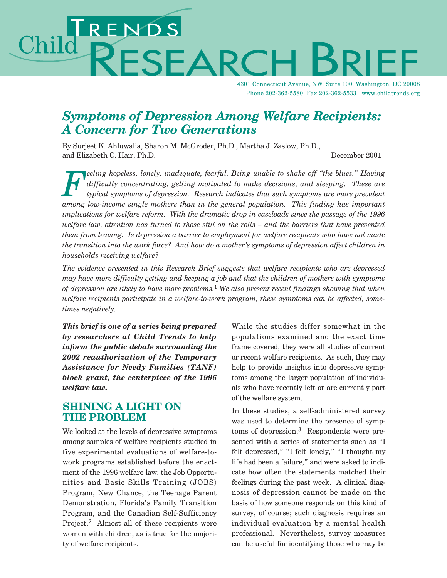# ENDS<br>PESEARC Chilc

4301 Connecticut Avenue, NW, Suite 100, Washington, DC 20008 Phone 202-362-5580 Fax 202-362-5533 www.childtrends.org

## *Symptoms of Depression Among Welfare Recipients: A Concern for Two Generations*

By Surjeet K. Ahluwalia, Sharon M. McGroder, Ph.D., Martha J. Zaslow, Ph.D., and Elizabeth C. Hair, Ph.D. December 2001

*Feeling hopeless, lonely, inadequate, fearful. Being unable to shake off "the blues." Having* difficulty concentrating, getting motivated to make decisions, and sleeping. These are typical symptoms of depression. Research *difficulty concentrating, getting motivated to make decisions, and sleeping. These are typical symptoms of depression. Research indicates that such symptoms are more prevalent among low-income single mothers than in the general population. This finding has important implications for welfare reform. With the dramatic drop in caseloads since the passage of the 1996 welfare law, attention has turned to those still on the rolls – and the barriers that have prevented them from leaving. Is depression a barrier to employment for welfare recipients who have not made the transition into the work force? And how do a mother's symptoms of depression affect children in households receiving welfare?* 

*The evidence presented in this Research Brief suggests that welfare recipients who are depressed may have more difficulty getting and keeping a job and that the children of mothers with symptoms of depression are likely to have more problems.*<sup>1</sup> *We also present recent findings showing that when welfare recipients participate in a welfare-to-work program, these symptoms can be affected, sometimes negatively.*

*This brief is one of a series being prepared by researchers at Child Trends to help inform the public debate surrounding the 2002 reauthorization of the Temporary Assistance for Needy Families (TANF) block grant, the centerpiece of the 1996 welfare law.*

## **SHINING A LIGHT ON THE PROBLEM**

We looked at the levels of depressive symptoms among samples of welfare recipients studied in five experimental evaluations of welfare-towork programs established before the enactment of the 1996 welfare law: the Job Opportunities and Basic Skills Training (JOBS) Program, New Chance, the Teenage Parent Demonstration, Florida's Family Transition Program, and the Canadian Self-Sufficiency Project.<sup>2</sup> Almost all of these recipients were women with children, as is true for the majority of welfare recipients.

While the studies differ somewhat in the populations examined and the exact time frame covered, they were all studies of current or recent welfare recipients. As such, they may help to provide insights into depressive symptoms among the larger population of individuals who have recently left or are currently part of the welfare system.

In these studies, a self-administered survey was used to determine the presence of symptoms of depression.<sup>3</sup> Respondents were presented with a series of statements such as "I felt depressed," "I felt lonely," "I thought my life had been a failure," and were asked to indicate how often the statements matched their feelings during the past week. A clinical diagnosis of depression cannot be made on the basis of how someone responds on this kind of survey, of course; such diagnosis requires an individual evaluation by a mental health professional. Nevertheless, survey measures can be useful for identifying those who may be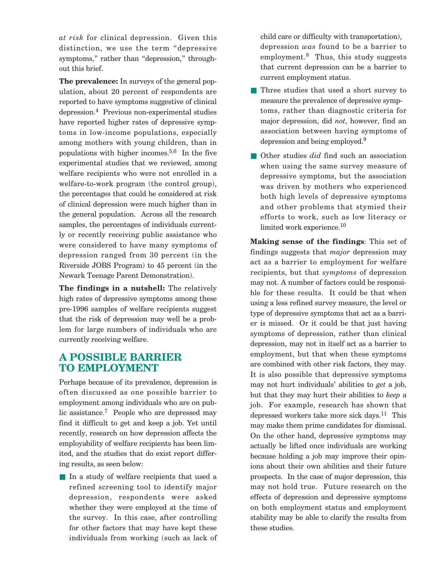*at risk* for clinical depression. Given this distinction, we use the term "depressive symptoms," rather than "depression," throughout this brief.

**The prevalence:** In surveys of the general population, about 20 percent of respondents are reported to have symptoms suggestive of clinical depression.4 Previous non-experimental studies have reported higher rates of depressive symptoms in low-income populations, especially among mothers with young children, than in populations with higher incomes.<sup>5,6</sup> In the five experimental studies that we reviewed, among welfare recipients who were not enrolled in a welfare-to-work program (the control group), the percentages that could be considered at risk of clinical depression were much higher than in the general population. Across all the research samples, the percentages of individuals currently or recently receiving public assistance who were considered to have many symptoms of depression ranged from 30 percent (in the Riverside JOBS Program) to 45 percent (in the Newark Teenage Parent Demonstration).

**The findings in a nutshell:** The relatively high rates of depressive symptoms among these pre-1996 samples of welfare recipients suggest that the risk of depression may well be a problem for large numbers of individuals who are currently receiving welfare.

## **A POSSIBLE BARRIER TO EMPLOYMENT**

Perhaps because of its prevalence, depression is often discussed as one possible barrier to employment among individuals who are on public assistance.7 People who are depressed may find it difficult to get and keep a job. Yet until recently, research on how depression affects the employability of welfare recipients has been limited, and the studies that do exist report differing results, as seen below:

■ In a study of welfare recipients that used a refined screening tool to identify major depression, respondents were asked whether they were employed at the time of the survey. In this case, after controlling for other factors that may have kept these individuals from working (such as lack of child care or difficulty with transportation), depression *was* found to be a barrier to employment. $8$  Thus, this study suggests that current depression can be a barrier to current employment status.

- Three studies that used a short survey to measure the prevalence of depressive symptoms, rather than diagnostic criteria for major depression, did *not*, however, find an association between having symptoms of depression and being employed.9
- Other studies *did* find such an association when using the same survey measure of depressive symptoms, but the association was driven by mothers who experienced both high levels of depressive symptoms and other problems that stymied their efforts to work, such as low literacy or limited work experience.10

**Making sense of the findings**: This set of findings suggests that *major* depression may act as a barrier to employment for welfare recipients, but that *symptoms* of depression may not. A number of factors could be responsible for these results. It could be that when using a less refined survey measure, the level or type of depressive symptoms that act as a barrier is missed. Or it could be that just having symptoms of depression, rather than clinical depression, may not in itself act as a barrier to employment, but that when these symptoms are combined with other risk factors, they may. It is also possible that depressive symptoms may not hurt individuals' abilities to *get* a job, but that they may hurt their abilities to *keep* a job. For example, research has shown that depressed workers take more sick days.<sup>11</sup> This may make them prime candidates for dismissal. On the other hand, depressive symptoms may actually be lifted once individuals are working because holding a job may improve their opinions about their own abilities and their future prospects. In the case of major depression, this may not hold true. Future research on the effects of depression and depressive symptoms on both employment status and employment stability may be able to clarify the results from these studies.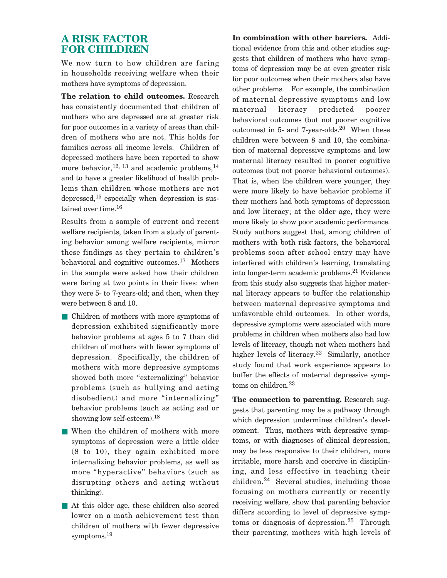## **A RISK FACTOR FOR CHILDREN**

We now turn to how children are faring in households receiving welfare when their mothers have symptoms of depression.

**The relation to child outcomes.** Research has consistently documented that children of mothers who are depressed are at greater risk for poor outcomes in a variety of areas than children of mothers who are not. This holds for families across all income levels. Children of depressed mothers have been reported to show more behavior,  $^{12, 13}$  and academic problems,  $^{14}$ and to have a greater likelihood of health problems than children whose mothers are not depressed, $15$  especially when depression is sustained over time.16

Results from a sample of current and recent welfare recipients, taken from a study of parenting behavior among welfare recipients, mirror these findings as they pertain to children's behavioral and cognitive outcomes.17 Mothers in the sample were asked how their children were faring at two points in their lives: when they were 5- to 7-years-old; and then, when they were between 8 and 10.

- Children of mothers with more symptoms of depression exhibited significantly more behavior problems at ages 5 to 7 than did children of mothers with fewer symptoms of depression. Specifically, the children of mothers with more depressive symptoms showed both more "externalizing" behavior problems (such as bullying and acting disobedient) and more "internalizing" behavior problems (such as acting sad or showing low self-esteem).<sup>18</sup>
- When the children of mothers with more symptoms of depression were a little older (8 to 10), they again exhibited more internalizing behavior problems, as well as more "hyperactive" behaviors (such as disrupting others and acting without thinking).
- At this older age, these children also scored lower on a math achievement test than children of mothers with fewer depressive symptoms.<sup>19</sup>

**In combination with other barriers.** Additional evidence from this and other studies suggests that children of mothers who have symptoms of depression may be at even greater risk for poor outcomes when their mothers also have other problems. For example, the combination of maternal depressive symptoms and low maternal literacy predicted poorer behavioral outcomes (but not poorer cognitive outcomes) in 5- and 7-year-olds. $20$  When these children were between 8 and 10, the combination of maternal depressive symptoms and low maternal literacy resulted in poorer cognitive outcomes (but not poorer behavioral outcomes). That is, when the children were younger, they were more likely to have behavior problems if their mothers had both symptoms of depression and low literacy; at the older age, they were more likely to show poor academic performance. Study authors suggest that, among children of mothers with both risk factors, the behavioral problems soon after school entry may have interfered with children's learning, translating into longer-term academic problems.21 Evidence from this study also suggests that higher maternal literacy appears to buffer the relationship between maternal depressive symptoms and unfavorable child outcomes. In other words, depressive symptoms were associated with more problems in children when mothers also had low levels of literacy, though not when mothers had higher levels of literacy.<sup>22</sup> Similarly, another study found that work experience appears to buffer the effects of maternal depressive symptoms on children.<sup>23</sup>

**The connection to parenting.** Research suggests that parenting may be a pathway through which depression undermines children's development. Thus, mothers with depressive symptoms, or with diagnoses of clinical depression, may be less responsive to their children, more irritable, more harsh and coercive in disciplining, and less effective in teaching their children.<sup>24</sup> Several studies, including those focusing on mothers currently or recently receiving welfare, show that parenting behavior differs according to level of depressive symptoms or diagnosis of depression.<sup>25</sup> Through their parenting, mothers with high levels of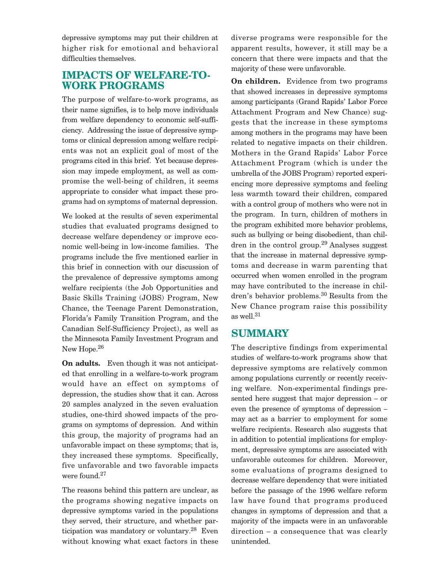depressive symptoms may put their children at higher risk for emotional and behavioral difficulties themselves.

## **IMPACTS OF WELFARE-TO-WORK PROGRAMS**

The purpose of welfare-to-work programs, as their name signifies, is to help move individuals from welfare dependency to economic self-sufficiency. Addressing the issue of depressive symptoms or clinical depression among welfare recipients was not an explicit goal of most of the programs cited in this brief. Yet because depression may impede employment, as well as compromise the well-being of children, it seems appropriate to consider what impact these programs had on symptoms of maternal depression.

We looked at the results of seven experimental studies that evaluated programs designed to decrease welfare dependency or improve economic well-being in low-income families. The programs include the five mentioned earlier in this brief in connection with our discussion of the prevalence of depressive symptoms among welfare recipients (the Job Opportunities and Basic Skills Training (JOBS) Program, New Chance, the Teenage Parent Demonstration, Florida's Family Transition Program, and the Canadian Self-Sufficiency Project), as well as the Minnesota Family Investment Program and New Hope.<sup>26</sup>

**On adults.** Even though it was not anticipated that enrolling in a welfare-to-work program would have an effect on symptoms of depression, the studies show that it can. Across 20 samples analyzed in the seven evaluation studies, one-third showed impacts of the programs on symptoms of depression. And within this group, the majority of programs had an unfavorable impact on these symptoms; that is, they increased these symptoms. Specifically, five unfavorable and two favorable impacts were found.27

The reasons behind this pattern are unclear, as the programs showing negative impacts on depressive symptoms varied in the populations they served, their structure, and whether participation was mandatory or voluntary.28 Even without knowing what exact factors in these diverse programs were responsible for the apparent results, however, it still may be a concern that there were impacts and that the majority of these were unfavorable.

**On children.** Evidence from two programs that showed increases in depressive symptoms among participants (Grand Rapids' Labor Force Attachment Program and New Chance) suggests that the increase in these symptoms among mothers in the programs may have been related to negative impacts on their children. Mothers in the Grand Rapids' Labor Force Attachment Program (which is under the umbrella of the JOBS Program) reported experiencing more depressive symptoms and feeling less warmth toward their children, compared with a control group of mothers who were not in the program. In turn, children of mothers in the program exhibited more behavior problems, such as bullying or being disobedient, than children in the control group.<sup>29</sup> Analyses suggest that the increase in maternal depressive symptoms and decrease in warm parenting that occurred when women enrolled in the program may have contributed to the increase in children's behavior problems.<sup>30</sup> Results from the New Chance program raise this possibility as well.31

## **SUMMARY**

The descriptive findings from experimental studies of welfare-to-work programs show that depressive symptoms are relatively common among populations currently or recently receiving welfare. Non-experimental findings presented here suggest that major depression – or even the presence of symptoms of depression – may act as a barrier to employment for some welfare recipients. Research also suggests that in addition to potential implications for employment, depressive symptoms are associated with unfavorable outcomes for children. Moreover, some evaluations of programs designed to decrease welfare dependency that were initiated before the passage of the 1996 welfare reform law have found that programs produced changes in symptoms of depression and that a majority of the impacts were in an unfavorable direction – a consequence that was clearly unintended.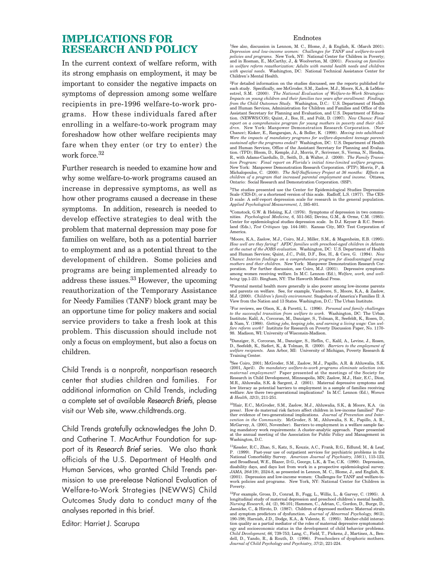## **IMPLICATIONS FOR RESEARCH AND POLICY**

In the current context of welfare reform, with its strong emphasis on employment, it may be important to consider the negative impacts on symptoms of depression among some welfare recipients in pre-1996 welfare-to-work programs. How these individuals fared after enrolling in a welfare-to-work program may foreshadow how other welfare recipients may fare when they enter (or try to enter) the work force.<sup>32</sup>

Further research is needed to examine how and why some welfare-to-work programs caused an increase in depressive symptoms, as well as how other programs caused a decrease in these symptoms. In addition, research is needed to develop effective strategies to deal with the problem that maternal depression may pose for families on welfare, both as a potential barrier to employment and as a potential threat to the development of children. Some policies and programs are being implemented already to address these issues.33 However, the upcoming reauthorization of the Temporary Assistance for Needy Families (TANF) block grant may be an opportune time for policy makers and social service providers to take a fresh look at this problem. This discussion should include not only a focus on employment, but also a focus on children.

Child Trends is a nonprofit, nonpartisan research center that studies children and families. For additional information on Child Trends, including a complete set of available *Research Briefs*, please visit our Web site, www.childtrends.org.

Child Trends gratefully acknowledges the John D. and Catherine T. MacArthur Foundation for support of its *Research Brief* series. We also thank officials of the U.S. Department of Health and Human Services, who granted Child Trends permission to use pre-release National Evaluation of Welfare-to-Work Strategies (NEWWS) Child Outcomes Study data to conduct many of the analyses reported in this brief.

Editor: Harriet J. Scarupa

#### Endnotes

1See also, discussion in Lennon, M. C., Blome, J., & English, K. (March 2001). *Depression and low-income women: Challenges for TANF and welfare-to-work policies and programs.* New York, NY: National Center for Children in Poverty; and in Rosman, E., McCarthy, J., & Woolverton, M. (2001). *Focusing on families in welfare reform reauthorization: Adults with mental health needs and children with special needs.* Washington, DC: National Technical Assistance Center for Children's Mental Health.

<sup>2</sup>For detailed information on the studies discussed, see the reports published for<br>each study. Specifically, see McGroder, S.M., Zaslow, M.J., Moore, K.A., & LeMen-<br>estrel, S.M. (2000). *The National Evaluation of Welfare Impacts on young children and their families two years after enrollment: Findings from the Child Outcomes Study.* Washington, D.C.: U.S. Department of Health and Human Services, Administration for Children and Families and Office of the Assistant Secretary for Planning and Evaluation, and U.S. Department of Education. (NEWWS/COS); Quint, J., Bos, H., and Polit, D. (1997). *New Chance: Final report on a comprehensive program for young mothers in poverty and their children.* New York: Manpower Demonstration Research Corporation. (New Chance); Kisker, E., Rangarajan, A., & Boller, K. (1998). *Moving into adulthood: Were the impacts of mandatory programs for welfare-dependent teenage parents sustained after the programs ended?* Washington, DC: U.S. Department of Health and Human Services, Office of the Assistant Secretary for Planning and Evalua-<br>tion. (TPD); Bloom, D., Kemple, J.J., Morris, P., Scrivener, S., Verma, N., Hendra,<br>R., with Adams-Ciardullo, D., Seith, D., & Walter, J. (2000 *tion Program: Final report on Florida's initial time-limited welfare program.* New York: Manpower Demonstration Research Corporation. (FTP); Morris, P., & Michalopoulos, C. (2000). *The Self-Sufficiency Project at 36 months: Effects on children of a program that increased parental employment and income.* Ottawa, Ontario: Social Research and Demonstration Corporation. (SSP).

3The studies presented use the Center for Epidemiological Studies Depression Scale (CES-D), or a shortened version of this scale. Radloff, L.S. (1977). The CES-D scale: A self-report depression scale for research in the general population. *Applied Psychological Measurement, 1,* 385-401.

4Comstock, G.W. & Helsing, K.J. (1976). Symptoms of depression in two communities. *Psychological Medicine, 6,* 551-563; Devins, G.M., & Orme, C.M. (1985). Center for epidemiological studies depression scale. In D.J. Keyser & R.C. Sweetland (Eds.), *Test Critiques* (pp. 144-160). Kansas City, MO: Test Corporation of America.

5Moore, K.A., Zaslow, M.J., Coiro, M.J., Miller, S.M., & Magenheim, E.B. (1995). *How well are they faring? AFDC families with preschool-aged children in Atlanta at the outset of the JOBS evaluation.* Washington, DC: U.S. Department of Health and Human Services; Quint, J.C., Polit, D.F., Bos, H., & Cave, G. (1994). *New Chance: Interim findings on a comprehensive program for disadvantaged young mothers and their children.* New York: Manpower Demonstration Research Corporation. For further discussion, see Coiro, M.J. (2001). Depressive symptoms among women receiving welfare. In M.C. Lennon (Ed.), *Welfare, work, and wellbeing* (pp.1-23). Bingham, NY: The Haworth Medical Press.

<sup>6</sup>Parental mental health more generally is also poorer among low-income parents<br>and parents on welfare. See, for example, Vandivere, S., Moore, K.A., & Zaslow,<br>M.J. (2000). *Children's family environment*. Snapshots of Am

7For reviews, see Olson, K., & Pavetti, L. (1996). *Personal and family challenges* to the successful transition from welfare to work. Washington, DC: The Urban Institute; Kalil, A., Corcoran, M., Danziger, S., Tolman, R., Seefeldt, K., Rosen, D.,  $\&$  Ram, Y. (1998). *Getting jobs, keeping jobs, and ear* 

8Danziger, S., Corcoran, M., Danziger, S., Heflin, C., Kalil, A., Levine, J., Rosen, D., Seefeldt, K., Siefert, K., & Tolman, R. (2000). *Barriers to the employment of welfare recipients.* Ann Arbor, MI: University of Michigan, Poverty Research & Training Center.

9See Coiro, 2001; McGroder, S.M., Zaslow, M.J., Papillo, A.R. & Ahluwalia, S.K. (2001, April). *Do mandatory welfare-to-work programs eliminate selection into maternal employment?* Paper presented at the meetings of the Society for Research in Child Development, Minneapolis, MN; Zaslow, M.J., Hair, E.C., Dion, M.R., Ahluwalia, S.K. & Sargent, J. (2001). Maternal depressive symptoms and low literacy as potential barriers to employment in a sample of families receiving welfare: Are there two-generational implications? In M.C. Lennon (Ed.), *Women & Health, 32*(3), 211-251.

10Hair, E.C., McGroder, S.M., Zaslow, M.J., Ahluwalia, S.K., & Moore, K.A. (in press). How do maternal risk factors affect children in low-income families? Further evidence of two-generational implications. *Journal of Prevention and Intervention in the Community.* McGroder, S. M., Ahluwalia, S. K., Papillo, A. R., McGarvey, A. (2001, November). Barriers to employment in a welfare sample fac-ing mandatory work requirements: A cluster-analytic approach. Paper presented at the annual meeting of the Association for Public Policy and Management in Washington, D.C.

11Kessler, R.C., Zhao, S., Katz, S., Kouzis, A.C., Frank, R.G., Edlund, M., & Leaf, P. (1999). Past-year use of outpatient services for psychiatric problems in the National Comorbidity Survey. *American Journal of Psychiatry, 156*(1), 115-123, and Broadhead, W.E., Blazer, D.G., George, L.K., & Tse, C.K. (1990). Depression, disability days, and days lost from work in a prospective epidemiological survey. *JAMA, 264*(19), 2524-8, as presented in Lennon, M. C., Blome, J., and English, K. (2001). Depression and low-income women: Challenges for TANF and welfare-towork policies and programs. New York, NY: National Center for Children in Poverty.

12For example, Gross, D., Conrad, B., Fogg, L., Willis, L., & Garvey, C. (1995). A longitudinal study of maternal depression and preschool children's mental health.<br>*Nursing Research, 44,* (2), 96-101; Hammen, C., Adrian, C., Gordon, D., Burge, D.,<br>Jaenicke, C., & Hiroto, D. (1987). Children of depress and symptom predictors of dysfunction. *Journal of Abnormal Psychology, 96(3),*<br>190-198; Harnish, J.D., Dodge, K.A., & Valente, E. (1995). Mother-child interac-<br>tion quality as a partial mediator of the roles of maternal d ogy and socioeconomic status in the development of child behavior problems. *Child Development, 66,* 739-753; Lang, C., Field, T., Pickens, J., Martinez, A., Bendell, D., Yando, R., & Routh, D. (1996). Preschoolers of dysphoric mothers. *Journal of Child Psychology and Psychiatry, 37*(2), 221-224.